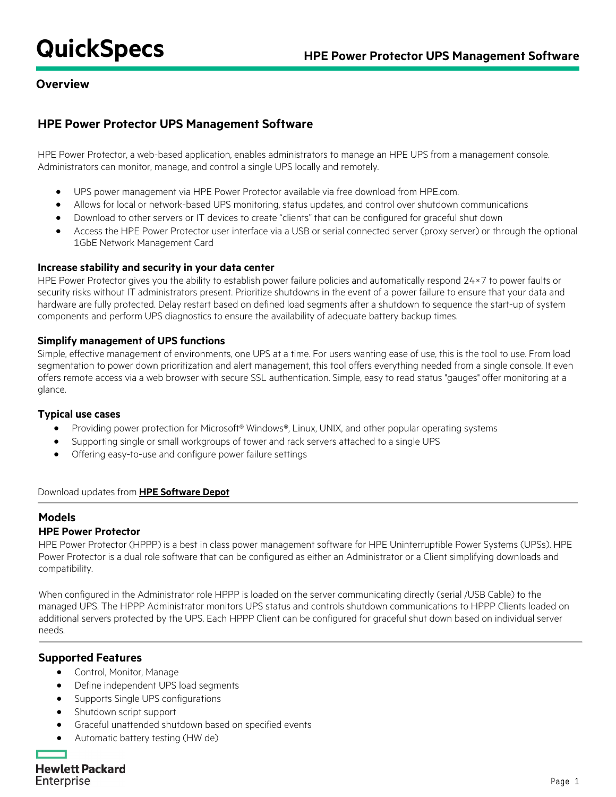## **Overview**

## **HPE Power Protector UPS Management Software**

HPE Power Protector, a web-based application, enables administrators to manage an HPE UPS from a management console. Administrators can monitor, manage, and control a single UPS locally and remotely.

- UPS power management via HPE Power Protector available via free download from HPE.com.
- Allows for local or network-based UPS monitoring, status updates, and control over shutdown communications
- Download to other servers or IT devices to create "clients" that can be configured for graceful shut down
- Access the HPE Power Protector user interface via a USB or serial connected server (proxy server) or through the optional 1GbE Network Management Card

#### **Increase stability and security in your data center**

HPE Power Protector gives you the ability to establish power failure policies and automatically respond 24×7 to power faults or security risks without IT administrators present. Prioritize shutdowns in the event of a power failure to ensure that your data and hardware are fully protected. Delay restart based on defined load segments after a shutdown to sequence the start-up of system components and perform UPS diagnostics to ensure the availability of adequate battery backup times.

## **Simplify management of UPS functions**

Simple, effective management of environments, one UPS at a time. For users wanting ease of use, this is the tool to use. From load segmentation to power down prioritization and alert management, this tool offers everything needed from a single console. It even offers remote access via a web browser with secure SSL authentication. Simple, easy to read status "gauges" offer monitoring at a glance.

#### **Typical use cases**

- Providing power protection for Microsoft® Windows®, Linux, UNIX, and other popular operating systems
- Supporting single or small workgroups of tower and rack servers attached to a single UPS
- Offering easy-to-use and configure power failure settings

#### Download updates from **[HPE Software Depot](https://h20392.www2.hpe.com/portal/swdepot/index.do?BB=1)**

## **Models**

#### **HPE Power Protector**

HPE Power Protector (HPPP) is a best in class power management software for HPE Uninterruptible Power Systems (UPSs). HPE Power Protector is a dual role software that can be configured as either an Administrator or a Client simplifying downloads and compatibility.

When configured in the Administrator role HPPP is loaded on the server communicating directly (serial /USB Cable) to the managed UPS. The HPPP Administrator monitors UPS status and controls shutdown communications to HPPP Clients loaded on additional servers protected by the UPS. Each HPPP Client can be configured for graceful shut down based on individual server needs.

## **Supported Features**

- Control, Monitor, Manage
- Define independent UPS load segments
- Supports Single UPS configurations
- Shutdown script support
- Graceful unattended shutdown based on specified events
- Automatic battery testing (HW de)

**Hewlett Packard** Enterprise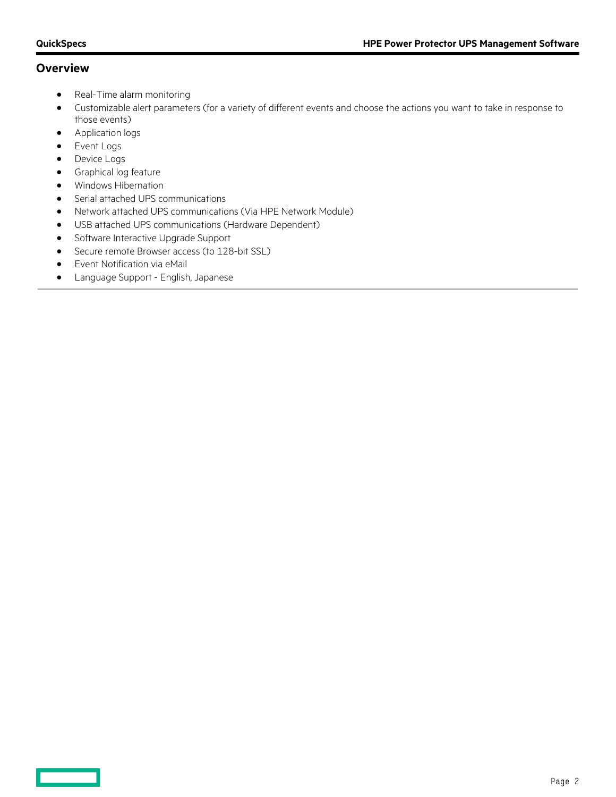## **Overview**

- Real-Time alarm monitoring
- Customizable alert parameters (for a variety of different events and choose the actions you want to take in response to those events)
- Application logs
- Event Logs

<u> Tan</u>

- Device Logs
- Graphical log feature
- Windows Hibernation
- Serial attached UPS communications
- Network attached UPS communications (Via HPE Network Module)
- USB attached UPS communications (Hardware Dependent)
- Software Interactive Upgrade Support
- Secure remote Browser access (to 128-bit SSL)
- Event Notification via eMail
- Language Support English, Japanese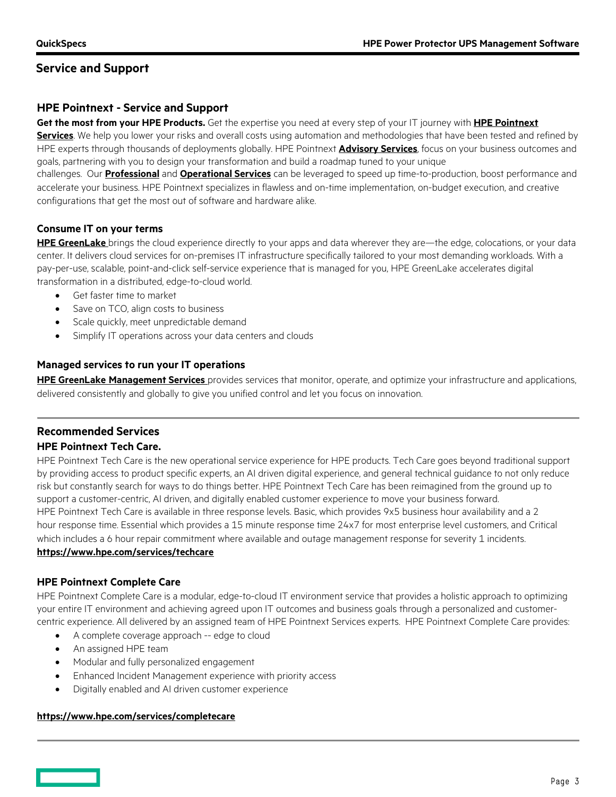## **Service and Support**

## **HPE Pointnext - Service and Support**

**Get the most from your HPE Products.** Get the expertise you need at every step of your IT journey with **[HPE Pointnext](https://www.hpe.com/us/en/services.html)  [Se](https://www.hpe.com/us/en/services.html)rvices**. We help you lower your risks and overall costs using automation and methodologies that have been tested and refined by HPE experts through thousands of deployments globally. HPE Pointnext **[Advisory Services](https://www.hpe.com/us/en/services/consulting.html)**, focus on your business outcomes and goals, partnering with you to design your transformation and build a roadmap tuned to your unique

challenges. Our **[Professional](https://h20195.www2.hpe.com/v2/Getdocument.aspx?docname=a00059438enw)** and **[Operational Services](https://www.hpe.com/us/en/services/operational.html)** can be leveraged to speed up time-to-production, boost performance and accelerate your business. HPE Pointnext specializes in flawless and on-time implementation, on-budget execution, and creative configurations that get the most out of software and hardware alike.

## **Consume IT on your terms**

**[HPE GreenLake](https://www.hpe.com/GreenLake)** brings the cloud experience directly to your apps and data wherever they are—the edge, colocations, or your data center. It delivers cloud services for on-premises IT infrastructure specifically tailored to your most demanding workloads. With a pay-per-use, scalable, point-and-click self-service experience that is managed for you, HPE GreenLake accelerates digital transformation in a distributed, edge-to-cloud world.

- Get faster time to market
- Save on TCO, align costs to business
- Scale quickly, meet unpredictable demand
- Simplify IT operations across your data centers and clouds

## **Managed services to run your IT operations**

**HPE GreenLake [Management Services](https://www.hpe.com/us/en/services/remote-infrastructure-monitoring.html)** provides services that monitor, operate, and optimize your infrastructure and applications, delivered consistently and globally to give you unified control and let you focus on innovation.

## **Recommended Services**

## **HPE Pointnext Tech Care.**

HPE Pointnext Tech Care is the new operational service experience for HPE products. Tech Care goes beyond traditional support by providing access to product specific experts, an AI driven digital experience, and general technical guidance to not only reduce risk but constantly search for ways to do things better. HPE Pointnext Tech Care has been reimagined from the ground up to support a customer-centric, AI driven, and digitally enabled customer experience to move your business forward. HPE Pointnext Tech Care is available in three response levels. Basic, which provides 9x5 business hour availability and a 2 hour response time. Essential which provides a 15 minute response time 24x7 for most enterprise level customers, and Critical which includes a 6 hour repair commitment where available and outage management response for severity 1 incidents.

## **<https://www.hpe.com/services/techcare>**

## **HPE Pointnext Complete Care**

HPE Pointnext Complete Care is a modular, edge-to-cloud IT environment service that provides a holistic approach to optimizing your entire IT environment and achieving agreed upon IT outcomes and business goals through a personalized and customercentric experience. All delivered by an assigned team of HPE Pointnext Services experts. HPE Pointnext Complete Care provides:

- A complete coverage approach -- edge to cloud
- An assigned HPE team
- Modular and fully personalized engagement
- Enhanced Incident Management experience with priority access
- Digitally enabled and AI driven customer experience

## **<https://www.hpe.com/services/completecare>**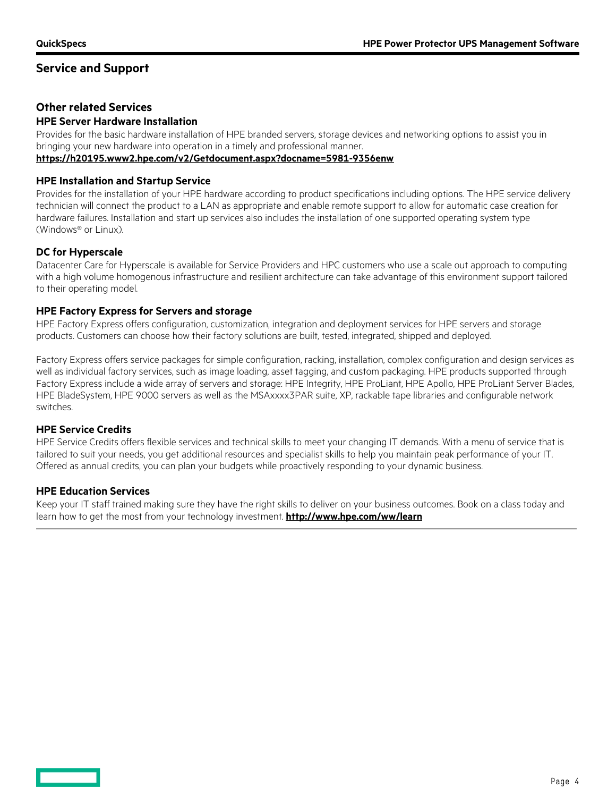## **Service and Support**

## **Other related Services**

#### **HPE Server Hardware Installation**

Provides for the basic hardware installation of HPE branded servers, storage devices and networking options to assist you in bringing your new hardware into operation in a timely and professional manner. **<https://h20195.www2.hpe.com/v2/Getdocument.aspx?docname=5981-9356enw>**

#### **HPE Installation and Startup Service**

Provides for the installation of your HPE hardware according to product specifications including options. The HPE service delivery technician will connect the product to a LAN as appropriate and enable remote support to allow for automatic case creation for hardware failures. Installation and start up services also includes the installation of one supported operating system type (Windows® or Linux).

## **DC for Hyperscale**

Datacenter Care for Hyperscale is available for Service Providers and HPC customers who use a scale out approach to computing with a high volume homogenous infrastructure and resilient architecture can take advantage of this environment support tailored to their operating model.

#### **HPE Factory Express for Servers and storage**

HPE Factory Express offers configuration, customization, integration and deployment services for HPE servers and storage products. Customers can choose how their factory solutions are built, tested, integrated, shipped and deployed.

Factory Express offers service packages for simple configuration, racking, installation, complex configuration and design services as well as individual factory services, such as image loading, asset tagging, and custom packaging. HPE products supported through Factory Express include a wide array of servers and storage: HPE Integrity, HPE ProLiant, HPE Apollo, HPE ProLiant Server Blades, HPE BladeSystem, HPE 9000 servers as well as the MSAxxxx3PAR suite, XP, rackable tape libraries and configurable network switches.

## **HPE Service Credits**

HPE Service Credits offers flexible services and technical skills to meet your changing IT demands. With a menu of service that is tailored to suit your needs, you get additional resources and specialist skills to help you maintain peak performance of your IT. Offered as annual credits, you can plan your budgets while proactively responding to your dynamic business.

#### **HPE Education Services**

Keep your IT staff trained making sure they have the right skills to deliver on your business outcomes. Book on a class today and learn how to get the most from your technology investment. **<http://www.hpe.com/ww/learn>**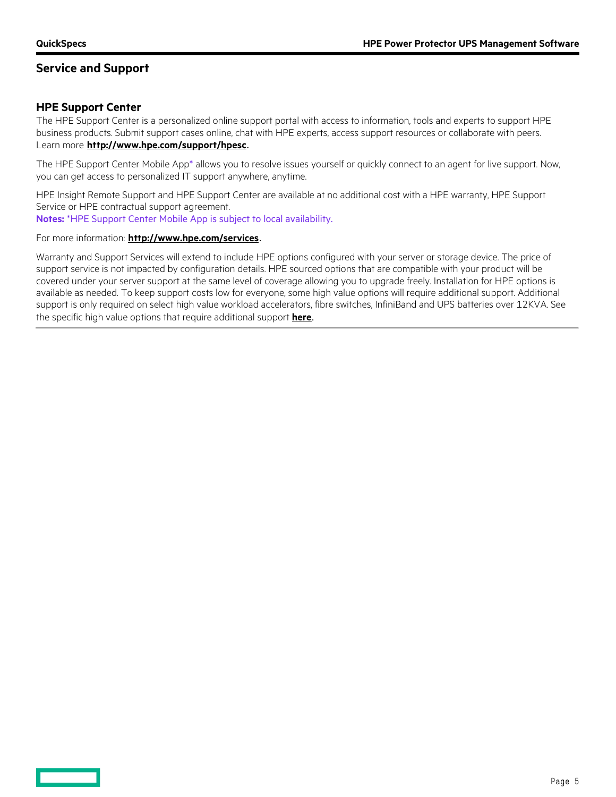**The Contract** 

## **Service and Support**

## **HPE Support Center**

The HPE Support Center is a personalized online support portal with access to information, tools and experts to support HPE business products. Submit support cases online, chat with HPE experts, access support resources or collaborate with peers. Learn more **<http://www.hpe.com/support/hpesc>**.

The HPE Support Center Mobile App\* allows you to resolve issues yourself or quickly connect to an agent for live support. Now, you can get access to personalized IT support anywhere, anytime.

HPE Insight Remote Support and HPE Support Center are available at no additional cost with a HPE warranty, HPE Support Service or HPE contractual support agreement.

**Notes:** \*HPE Support Center Mobile App is subject to local availability.

#### For more information: **<http://www.hpe.com/services>**.

Warranty and Support Services will extend to include HPE options configured with your server or storage device. The price of support service is not impacted by configuration details. HPE sourced options that are compatible with your product will be covered under your server support at the same level of coverage allowing you to upgrade freely. Installation for HPE options is available as needed. To keep support costs low for everyone, some high value options will require additional support. Additional support is only required on select high value workload accelerators, fibre switches, InfiniBand and UPS batteries over 12KVA. See the specific high value options that require additional support **[here](https://www.hpe.com/h20195/V2/GetPDF.aspx/4AA4-8876ENW.pdf)**.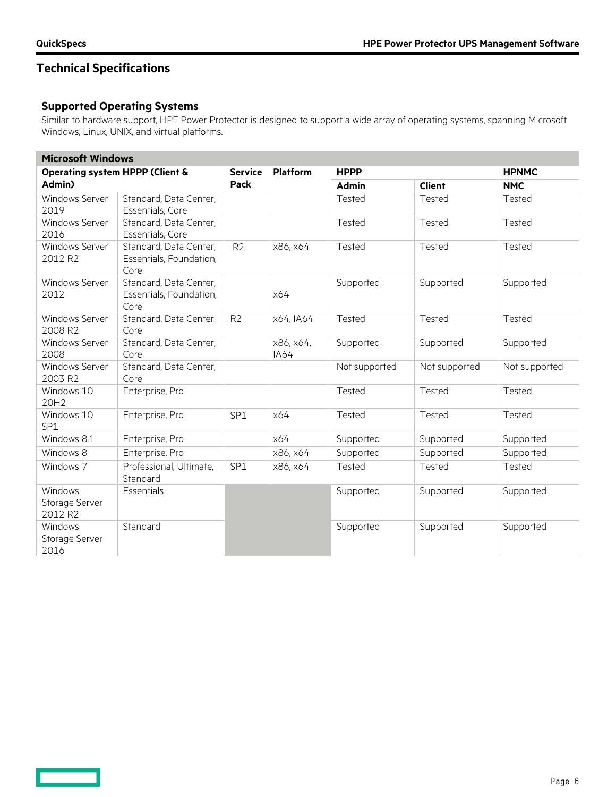**Contract Contract** 

# **Technical Specifications**

## **Supported Operating Systems**

Similar to hardware support, HPE Power Protector is designed to support a wide array of operating systems, spanning Microsoft Windows, Linux, UNIX, and virtual platforms.

| <b>Microsoft Windows</b>                             |                                                           |                |                          |               |               |               |
|------------------------------------------------------|-----------------------------------------------------------|----------------|--------------------------|---------------|---------------|---------------|
| <b>Operating system HPPP (Client &amp;</b><br>Admin) |                                                           | <b>Service</b> | <b>Platform</b>          | <b>HPPP</b>   | <b>HPNMC</b>  |               |
|                                                      |                                                           | Pack           |                          | <b>Admin</b>  | <b>Client</b> | <b>NMC</b>    |
| <b>Windows Server</b><br>2019                        | Standard, Data Center,<br>Essentials, Core                |                |                          | Tested        | Tested        | Tested        |
| Windows Server<br>2016                               | Standard, Data Center,<br>Essentials, Core                |                |                          | Tested        | Tested        | Tested        |
| Windows Server<br>2012 R2                            | Standard, Data Center,<br>Essentials, Foundation,<br>Core | R <sub>2</sub> | x86, x64                 | Tested        | Tested        | Tested        |
| Windows Server<br>2012                               | Standard, Data Center,<br>Essentials, Foundation,<br>Core |                | x64                      | Supported     | Supported     | Supported     |
| <b>Windows Server</b><br>2008 R <sub>2</sub>         | Standard, Data Center,<br>Core                            | R <sub>2</sub> | x64, IA64                | Tested        | Tested        | Tested        |
| <b>Windows Server</b><br>2008                        | Standard, Data Center,<br>Core                            |                | x86, x64,<br><b>IA64</b> | Supported     | Supported     | Supported     |
| <b>Windows Server</b><br>2003 R2                     | Standard, Data Center,<br>Core                            |                |                          | Not supported | Not supported | Not supported |
| Windows 10<br>20H2                                   | Enterprise, Pro                                           |                |                          | Tested        | Tested        | Tested        |
| Windows 10<br>SP <sub>1</sub>                        | Enterprise, Pro                                           | SP1            | x64                      | Tested        | Tested        | Tested        |
| Windows 8.1                                          | Enterprise, Pro                                           |                | x64                      | Supported     | Supported     | Supported     |
| Windows 8                                            | Enterprise, Pro                                           |                | x86, x64                 | Supported     | Supported     | Supported     |
| Windows 7                                            | Professional, Ultimate,<br>Standard                       | SP1            | x86, x64                 | Tested        | Tested        | Tested        |
| Windows<br>Storage Server<br>2012 R2                 | <b>Essentials</b>                                         |                |                          | Supported     | Supported     | Supported     |
| Windows<br>Storage Server<br>2016                    | Standard                                                  |                |                          | Supported     | Supported     | Supported     |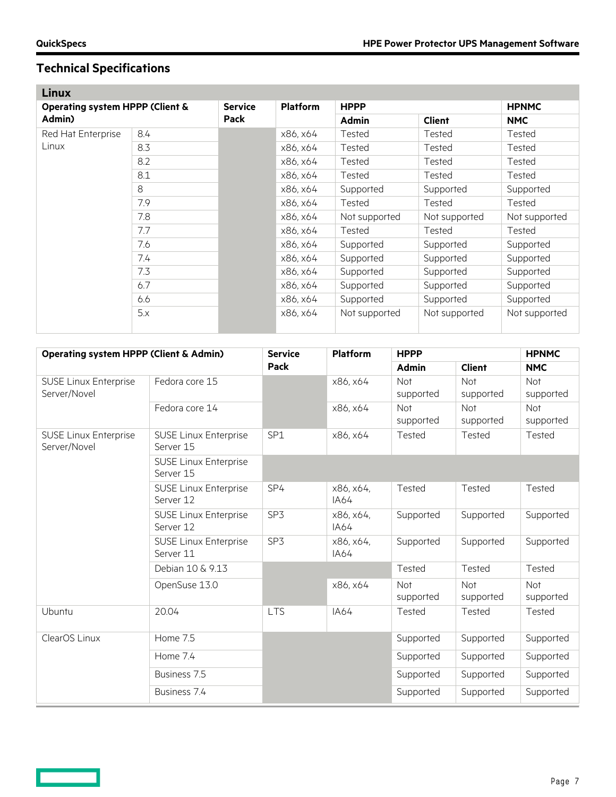# **Technical Specifications**

| <b>Linux</b>                                         |     |                |                 |               |               |               |
|------------------------------------------------------|-----|----------------|-----------------|---------------|---------------|---------------|
| <b>Operating system HPPP (Client &amp;</b><br>Admin) |     | <b>Service</b> | <b>Platform</b> | <b>HPPP</b>   |               | <b>HPNMC</b>  |
|                                                      |     | <b>Pack</b>    |                 | <b>Admin</b>  | <b>Client</b> | <b>NMC</b>    |
| Red Hat Enterprise<br>Linux                          | 8.4 |                | x86, x64        | <b>Tested</b> | Tested        | Tested        |
|                                                      | 8.3 |                | x86, x64        | Tested        | Tested        | Tested        |
|                                                      | 8.2 |                | x86, x64        | Tested        | <b>Tested</b> | Tested        |
|                                                      | 8.1 |                | x86, x64        | Tested        | Tested        | Tested        |
|                                                      | 8   |                | x86, x64        | Supported     | Supported     | Supported     |
|                                                      | 7.9 |                | x86, x64        | Tested        | Tested        | Tested        |
|                                                      | 7.8 |                | x86, x64        | Not supported | Not supported | Not supported |
|                                                      | 7.7 |                | x86, x64        | Tested        | Tested        | Tested        |
|                                                      | 7.6 |                | x86, x64        | Supported     | Supported     | Supported     |
|                                                      | 7.4 |                | x86, x64        | Supported     | Supported     | Supported     |
|                                                      | 7.3 |                | x86. x64        | Supported     | Supported     | Supported     |
|                                                      | 6.7 |                | x86, x64        | Supported     | Supported     | Supported     |
|                                                      | 6.6 |                | x86, x64        | Supported     | Supported     | Supported     |
|                                                      | 5.x |                | x86, x64        | Not supported | Not supported | Not supported |

| <b>Operating system HPPP (Client &amp; Admin)</b> |                                           | <b>Service</b><br>Pack | <b>Platform</b>   | <b>HPPP</b>             |                         | <b>HPNMC</b>     |
|---------------------------------------------------|-------------------------------------------|------------------------|-------------------|-------------------------|-------------------------|------------------|
|                                                   |                                           |                        |                   | <b>Admin</b>            | <b>Client</b>           | <b>NMC</b>       |
| <b>SUSE Linux Enterprise</b>                      | Fedora core 15                            |                        | x86, x64          | Not                     | <b>Not</b>              | Not              |
| Server/Novel                                      |                                           |                        |                   | supported               | supported               | supported        |
|                                                   | Fedora core 14                            |                        | x86, x64          | <b>Not</b><br>supported | <b>Not</b><br>supported | Not<br>supported |
| <b>SUSE Linux Enterprise</b><br>Server/Novel      | <b>SUSE Linux Enterprise</b><br>Server 15 | SP1                    | x86, x64          | Tested                  | Tested                  | Tested           |
|                                                   | <b>SUSE Linux Enterprise</b><br>Server 15 |                        |                   |                         |                         |                  |
|                                                   | <b>SUSE Linux Enterprise</b><br>Server 12 | SP4                    | x86, x64,<br>IA64 | Tested                  | Tested                  | Tested           |
|                                                   | <b>SUSE Linux Enterprise</b><br>Server 12 | SP3                    | x86, x64,<br>IA64 | Supported               | Supported               | Supported        |
|                                                   | <b>SUSE Linux Enterprise</b><br>Server 11 | SP3                    | x86, x64,<br>IA64 | Supported               | Supported               | Supported        |
|                                                   | Debian 10 & 9.13                          |                        |                   | Tested                  | Tested                  | Tested           |
|                                                   | OpenSuse 13.0                             |                        | x86, x64          | Not<br>supported        | Not<br>supported        | Not<br>supported |
| Ubuntu                                            | 20.04                                     | <b>LTS</b>             | <b>IA64</b>       | Tested                  | Tested                  | Tested           |
| ClearOS Linux                                     | Home 7.5                                  |                        |                   | Supported               | Supported               | Supported        |
|                                                   | Home 7.4                                  |                        |                   | Supported               | Supported               | Supported        |
|                                                   | Business 7.5                              |                        |                   | Supported               | Supported               | Supported        |
|                                                   | Business 7.4                              |                        |                   | Supported               | Supported               | Supported        |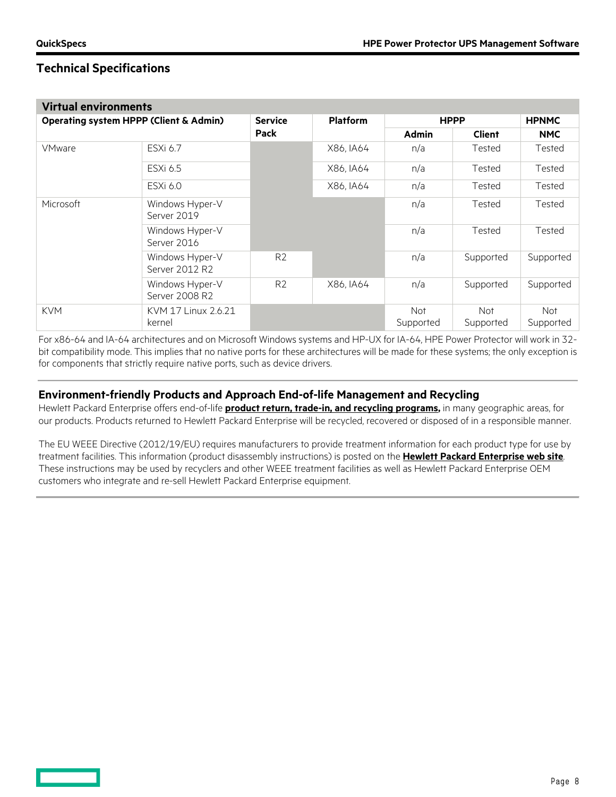## **Technical Specifications**

| <b>Virtual environments</b>                       |                                   |                |                 |                         |                         |                  |
|---------------------------------------------------|-----------------------------------|----------------|-----------------|-------------------------|-------------------------|------------------|
| <b>Operating system HPPP (Client &amp; Admin)</b> |                                   | <b>Service</b> | <b>Platform</b> | <b>HPPP</b>             |                         | <b>HPNMC</b>     |
|                                                   |                                   | <b>Pack</b>    |                 | <b>Admin</b>            | <b>Client</b>           | <b>NMC</b>       |
| <b>VMware</b>                                     | ESXi 6.7                          |                | X86, IA64       | n/a                     | Tested                  | Tested           |
|                                                   | ESXi 6.5                          |                | X86, IA64       | n/a                     | Tested                  | Tested           |
|                                                   | ESXi 6.0                          |                | X86, IA64       | n/a                     | Tested                  | Tested           |
| Microsoft                                         | Windows Hyper-V<br>Server 2019    |                |                 | n/a                     | Tested                  | Tested           |
|                                                   | Windows Hyper-V<br>Server 2016    |                |                 | n/a                     | Tested                  | Tested           |
|                                                   | Windows Hyper-V<br>Server 2012 R2 | R <sub>2</sub> |                 | n/a                     | Supported               | Supported        |
|                                                   | Windows Hyper-V<br>Server 2008 R2 | R <sub>2</sub> | X86, IA64       | n/a                     | Supported               | Supported        |
| <b>KVM</b>                                        | KVM 17 Linux 2.6.21<br>kernel     |                |                 | <b>Not</b><br>Supported | <b>Not</b><br>Supported | Not<br>Supported |

For x86-64 and IA-64 architectures and on Microsoft Windows systems and HP-UX for IA-64, HPE Power Protector will work in 32 bit compatibility mode. This implies that no native ports for these architectures will be made for these systems; the only exception is for components that strictly require native ports, such as device drivers.

## **Environment-friendly Products and Approach End-of-life Management and Recycling**

Hewlett Packard Enterprise offers end-of-life **[product return, trade-in, and recycling programs,](http://www.hpe.com/recycle)** in many geographic areas, for our products. Products returned to Hewlett Packard Enterprise will be recycled, recovered or disposed of in a responsible manner.

The EU WEEE Directive (2012/19/EU) requires manufacturers to provide treatment information for each product type for use by treatment facilities. This information (product disassembly instructions) is posted on the **[Hewlett Packard Enterprise web site](http://www.hpe.com/recycle)**. These instructions may be used by recyclers and other WEEE treatment facilities as well as Hewlett Packard Enterprise OEM customers who integrate and re-sell Hewlett Packard Enterprise equipment.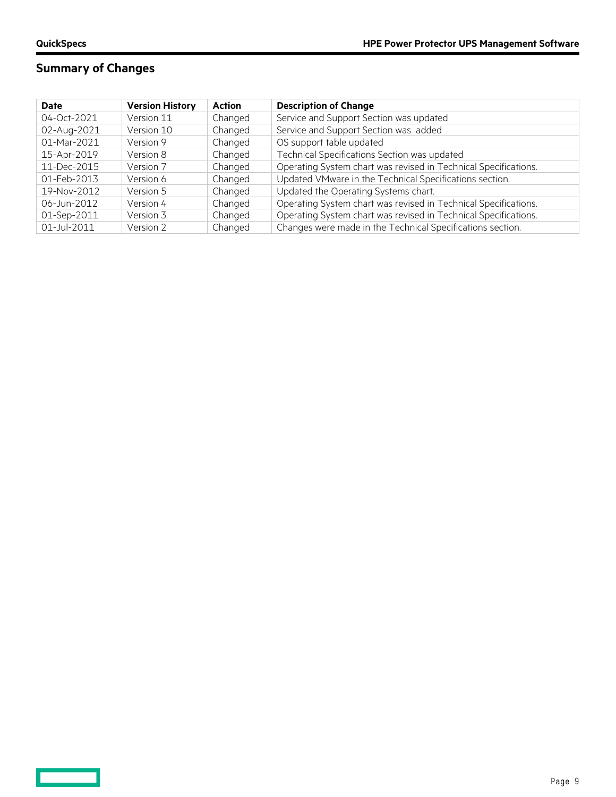$\overline{\phantom{0}}$ 

# **Summary of Changes**

| <b>Date</b> | <b>Version History</b> | <b>Action</b> | <b>Description of Change</b>                                    |
|-------------|------------------------|---------------|-----------------------------------------------------------------|
| 04-Oct-2021 | Version 11             | Changed       | Service and Support Section was updated                         |
| 02-Aug-2021 | Version 10             | Changed       | Service and Support Section was added                           |
| 01-Mar-2021 | Version 9              | Changed       | OS support table updated                                        |
| 15-Apr-2019 | Version 8              | Changed       | Technical Specifications Section was updated                    |
| 11-Dec-2015 | Version 7              | Changed       | Operating System chart was revised in Technical Specifications. |
| 01-Feb-2013 | Version 6              | Changed       | Updated VMware in the Technical Specifications section.         |
| 19-Nov-2012 | Version 5              | Changed       | Updated the Operating Systems chart.                            |
| 06-Jun-2012 | Version 4              | Changed       | Operating System chart was revised in Technical Specifications. |
| 01-Sep-2011 | Version 3              | Changed       | Operating System chart was revised in Technical Specifications. |
| 01-Jul-2011 | Version 2              | Changed       | Changes were made in the Technical Specifications section.      |